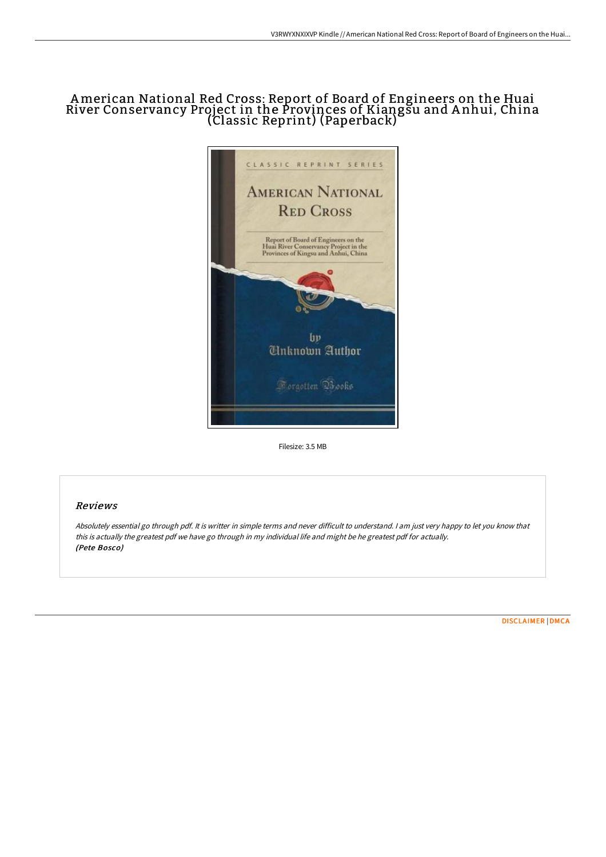# American National Red Cross: Report of Board of Engineers on the Huai River Conservancy Project in the Provinces of Kiangsu and A nhui, China (Classic Reprint) (Paperback)



Filesize: 3.5 MB

# Reviews

Absolutely essential go through pdf. It is writter in simple terms and never difficult to understand. <sup>I</sup> am just very happy to let you know that this is actually the greatest pdf we have go through in my individual life and might be he greatest pdf for actually. (Pete Bosco)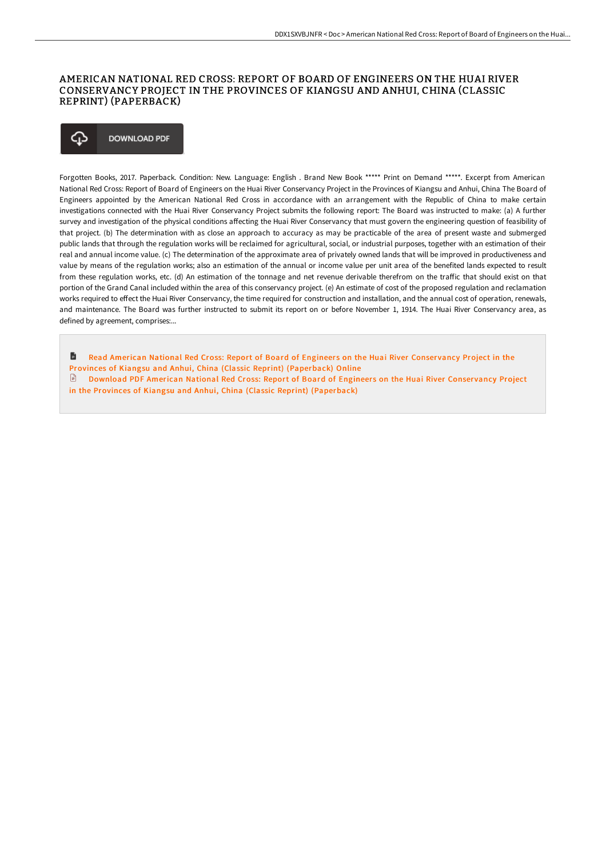### AMERICAN NATIONAL RED CROSS: REPORT OF BOARD OF ENGINEERS ON THE HUAI RIVER CONSERVANCY PROJECT IN THE PROVINCES OF KIANGSU AND ANHUI, CHINA (CLASSIC REPRINT) (PAPERBACK)

#### ঞ **DOWNLOAD PDF**

Forgotten Books, 2017. Paperback. Condition: New. Language: English . Brand New Book \*\*\*\*\* Print on Demand \*\*\*\*\*. Excerpt from American National Red Cross: Report of Board of Engineers on the Huai River Conservancy Project in the Provinces of Kiangsu and Anhui, China The Board of Engineers appointed by the American National Red Cross in accordance with an arrangement with the Republic of China to make certain investigations connected with the Huai River Conservancy Project submits the following report: The Board was instructed to make: (a) A further survey and investigation of the physical conditions affecting the Huai River Conservancy that must govern the engineering question of feasibility of that project. (b) The determination with as close an approach to accuracy as may be practicable of the area of present waste and submerged public lands that through the regulation works will be reclaimed for agricultural, social, or industrial purposes, together with an estimation of their real and annual income value. (c) The determination of the approximate area of privately owned lands that will be improved in productiveness and value by means of the regulation works; also an estimation of the annual or income value per unit area of the benefited lands expected to result from these regulation works, etc. (d) An estimation of the tonnage and net revenue derivable therefrom on the traffic that should exist on that portion of the Grand Canal included within the area of this conservancy project. (e) An estimate of cost of the proposed regulation and reclamation works required to effect the Huai River Conservancy, the time required for construction and installation, and the annual cost of operation, renewals, and maintenance. The Board was further instructed to submit its report on or before November 1, 1914. The Huai River Conservancy area, as defined by agreement, comprises:...

h Read American National Red Cross: Report of Board of Engineers on the Huai River Conservancy Project in the

Provinces of Kiangsu and Anhui, China (Classic Reprint) [\(Paperback\)](http://digilib.live/american-national-red-cross-report-of-board-of-e.html) Online

Download PDF American National Red Cross: Report of Board of Engineers on the Huai River Conservancy Project in the Provinces of Kiangsu and Anhui, China (Classic Reprint) [\(Paperback\)](http://digilib.live/american-national-red-cross-report-of-board-of-e.html)